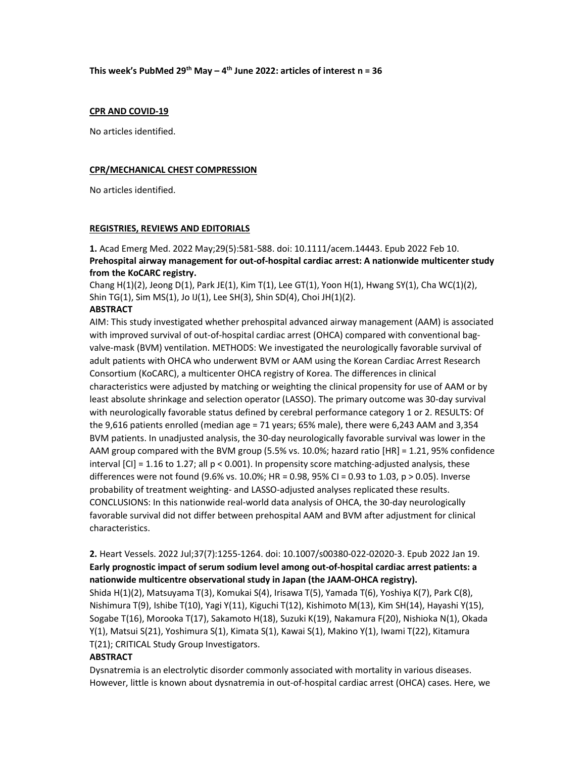#### This week's PubMed 29<sup>th</sup> May – 4<sup>th</sup> June 2022: articles of interest  $n = 36$

#### CPR AND COVID-19

No articles identified.

#### CPR/MECHANICAL CHEST COMPRESSION

No articles identified.

#### REGISTRIES, REVIEWS AND EDITORIALS

1. Acad Emerg Med. 2022 May;29(5):581-588. doi: 10.1111/acem.14443. Epub 2022 Feb 10. Prehospital airway management for out-of-hospital cardiac arrest: A nationwide multicenter study from the KoCARC registry.

Chang  $H(1)(2)$ , Jeong  $D(1)$ , Park JE(1), Kim T(1), Lee GT(1), Yoon  $H(1)$ , Hwang SY(1), Cha WC(1)(2), Shin TG(1), Sim MS(1), Jo IJ(1), Lee SH(3), Shin SD(4), Choi JH(1)(2).

#### **ABSTRACT**

AIM: This study investigated whether prehospital advanced airway management (AAM) is associated with improved survival of out-of-hospital cardiac arrest (OHCA) compared with conventional bagvalve-mask (BVM) ventilation. METHODS: We investigated the neurologically favorable survival of adult patients with OHCA who underwent BVM or AAM using the Korean Cardiac Arrest Research Consortium (KoCARC), a multicenter OHCA registry of Korea. The differences in clinical characteristics were adjusted by matching or weighting the clinical propensity for use of AAM or by least absolute shrinkage and selection operator (LASSO). The primary outcome was 30-day survival with neurologically favorable status defined by cerebral performance category 1 or 2. RESULTS: Of the 9,616 patients enrolled (median age = 71 years; 65% male), there were 6,243 AAM and 3,354 BVM patients. In unadjusted analysis, the 30-day neurologically favorable survival was lower in the AAM group compared with the BVM group (5.5% vs. 10.0%; hazard ratio [HR] = 1.21, 95% confidence interval  $\text{[CI]} = 1.16$  to 1.27; all  $p < 0.001$ ). In propensity score matching-adjusted analysis, these differences were not found (9.6% vs. 10.0%; HR = 0.98, 95% CI = 0.93 to 1.03, p > 0.05). Inverse probability of treatment weighting- and LASSO-adjusted analyses replicated these results. CONCLUSIONS: In this nationwide real-world data analysis of OHCA, the 30-day neurologically favorable survival did not differ between prehospital AAM and BVM after adjustment for clinical characteristics.

2. Heart Vessels. 2022 Jul;37(7):1255-1264. doi: 10.1007/s00380-022-02020-3. Epub 2022 Jan 19. Early prognostic impact of serum sodium level among out-of-hospital cardiac arrest patients: a nationwide multicentre observational study in Japan (the JAAM-OHCA registry).

Shida H(1)(2), Matsuyama T(3), Komukai S(4), Irisawa T(5), Yamada T(6), Yoshiya K(7), Park C(8), Nishimura T(9), Ishibe T(10), Yagi Y(11), Kiguchi T(12), Kishimoto M(13), Kim SH(14), Hayashi Y(15), Sogabe T(16), Morooka T(17), Sakamoto H(18), Suzuki K(19), Nakamura F(20), Nishioka N(1), Okada Y(1), Matsui S(21), Yoshimura S(1), Kimata S(1), Kawai S(1), Makino Y(1), Iwami T(22), Kitamura T(21); CRITICAL Study Group Investigators.

#### **ABSTRACT**

Dysnatremia is an electrolytic disorder commonly associated with mortality in various diseases. However, little is known about dysnatremia in out-of-hospital cardiac arrest (OHCA) cases. Here, we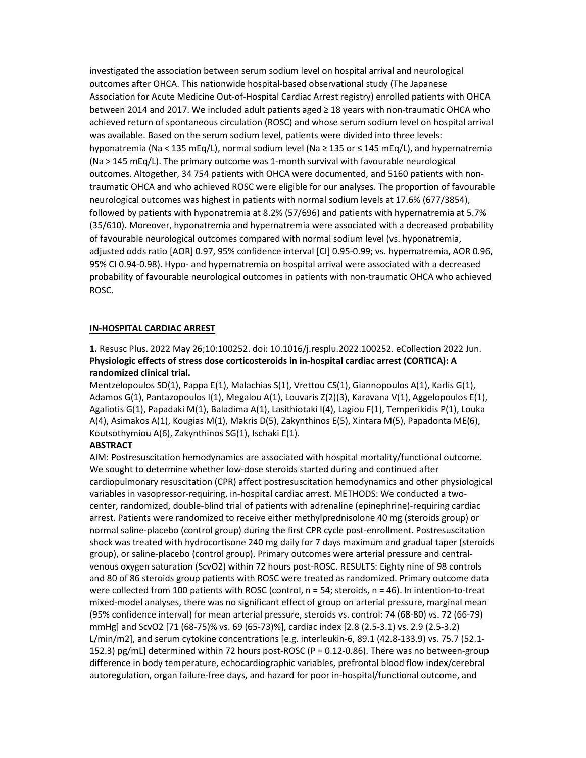investigated the association between serum sodium level on hospital arrival and neurological outcomes after OHCA. This nationwide hospital-based observational study (The Japanese Association for Acute Medicine Out-of-Hospital Cardiac Arrest registry) enrolled patients with OHCA between 2014 and 2017. We included adult patients aged ≥ 18 years with non-traumatic OHCA who achieved return of spontaneous circulation (ROSC) and whose serum sodium level on hospital arrival was available. Based on the serum sodium level, patients were divided into three levels: hyponatremia (Na < 135 mEq/L), normal sodium level (Na ≥ 135 or ≤ 145 mEq/L), and hypernatremia (Na > 145 mEq/L). The primary outcome was 1-month survival with favourable neurological outcomes. Altogether, 34 754 patients with OHCA were documented, and 5160 patients with nontraumatic OHCA and who achieved ROSC were eligible for our analyses. The proportion of favourable neurological outcomes was highest in patients with normal sodium levels at 17.6% (677/3854), followed by patients with hyponatremia at 8.2% (57/696) and patients with hypernatremia at 5.7% (35/610). Moreover, hyponatremia and hypernatremia were associated with a decreased probability of favourable neurological outcomes compared with normal sodium level (vs. hyponatremia, adjusted odds ratio [AOR] 0.97, 95% confidence interval [CI] 0.95-0.99; vs. hypernatremia, AOR 0.96, 95% CI 0.94-0.98). Hypo- and hypernatremia on hospital arrival were associated with a decreased probability of favourable neurological outcomes in patients with non-traumatic OHCA who achieved ROSC.

#### IN-HOSPITAL CARDIAC ARREST

1. Resusc Plus. 2022 May 26;10:100252. doi: 10.1016/j.resplu.2022.100252. eCollection 2022 Jun. Physiologic effects of stress dose corticosteroids in in-hospital cardiac arrest (CORTICA): A randomized clinical trial.

Mentzelopoulos SD(1), Pappa E(1), Malachias S(1), Vrettou CS(1), Giannopoulos A(1), Karlis G(1), Adamos G(1), Pantazopoulos I(1), Megalou A(1), Louvaris Z(2)(3), Karavana V(1), Aggelopoulos E(1), Agaliotis G(1), Papadaki M(1), Baladima A(1), Lasithiotaki I(4), Lagiou F(1), Temperikidis P(1), Louka A(4), Asimakos A(1), Kougias M(1), Makris D(5), Zakynthinos E(5), Xintara M(5), Papadonta ME(6), Koutsothymiou A(6), Zakynthinos SG(1), Ischaki E(1).

#### **ABSTRACT**

AIM: Postresuscitation hemodynamics are associated with hospital mortality/functional outcome. We sought to determine whether low-dose steroids started during and continued after cardiopulmonary resuscitation (CPR) affect postresuscitation hemodynamics and other physiological variables in vasopressor-requiring, in-hospital cardiac arrest. METHODS: We conducted a twocenter, randomized, double-blind trial of patients with adrenaline (epinephrine)-requiring cardiac arrest. Patients were randomized to receive either methylprednisolone 40 mg (steroids group) or normal saline-placebo (control group) during the first CPR cycle post-enrollment. Postresuscitation shock was treated with hydrocortisone 240 mg daily for 7 days maximum and gradual taper (steroids group), or saline-placebo (control group). Primary outcomes were arterial pressure and centralvenous oxygen saturation (ScvO2) within 72 hours post-ROSC. RESULTS: Eighty nine of 98 controls and 80 of 86 steroids group patients with ROSC were treated as randomized. Primary outcome data were collected from 100 patients with ROSC (control, n = 54; steroids, n = 46). In intention-to-treat mixed-model analyses, there was no significant effect of group on arterial pressure, marginal mean (95% confidence interval) for mean arterial pressure, steroids vs. control: 74 (68-80) vs. 72 (66-79) mmHg] and ScvO2 [71 (68-75)% vs. 69 (65-73)%], cardiac index [2.8 (2.5-3.1) vs. 2.9 (2.5-3.2) L/min/m2], and serum cytokine concentrations [e.g. interleukin-6, 89.1 (42.8-133.9) vs. 75.7 (52.1- 152.3) pg/mL] determined within 72 hours post-ROSC (P = 0.12-0.86). There was no between-group difference in body temperature, echocardiographic variables, prefrontal blood flow index/cerebral autoregulation, organ failure-free days, and hazard for poor in-hospital/functional outcome, and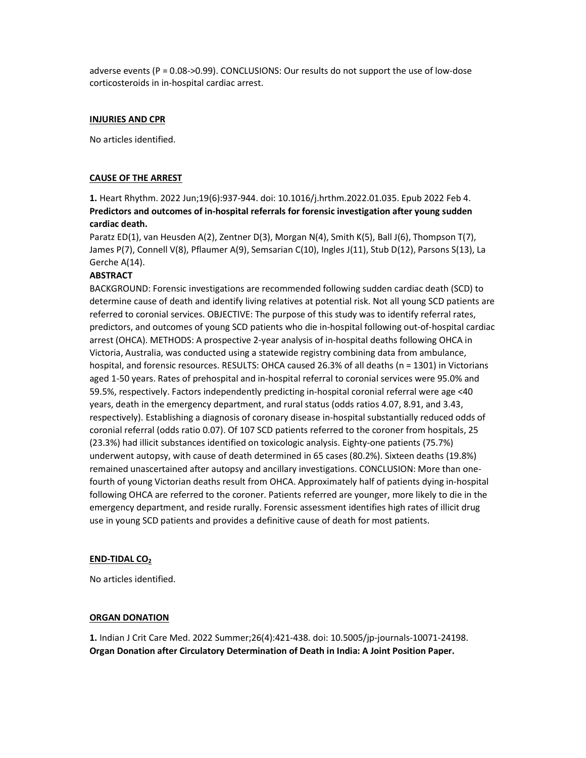adverse events (P = 0.08->0.99). CONCLUSIONS: Our results do not support the use of low-dose corticosteroids in in-hospital cardiac arrest.

#### INJURIES AND CPR

No articles identified.

#### CAUSE OF THE ARREST

1. Heart Rhythm. 2022 Jun;19(6):937-944. doi: 10.1016/j.hrthm.2022.01.035. Epub 2022 Feb 4. Predictors and outcomes of in-hospital referrals for forensic investigation after young sudden cardiac death.

Paratz ED(1), van Heusden A(2), Zentner D(3), Morgan N(4), Smith K(5), Ball J(6), Thompson T(7), James P(7), Connell V(8), Pflaumer A(9), Semsarian C(10), Ingles J(11), Stub D(12), Parsons S(13), La Gerche A(14).

#### **ABSTRACT**

BACKGROUND: Forensic investigations are recommended following sudden cardiac death (SCD) to determine cause of death and identify living relatives at potential risk. Not all young SCD patients are referred to coronial services. OBJECTIVE: The purpose of this study was to identify referral rates, predictors, and outcomes of young SCD patients who die in-hospital following out-of-hospital cardiac arrest (OHCA). METHODS: A prospective 2-year analysis of in-hospital deaths following OHCA in Victoria, Australia, was conducted using a statewide registry combining data from ambulance, hospital, and forensic resources. RESULTS: OHCA caused 26.3% of all deaths (n = 1301) in Victorians aged 1-50 years. Rates of prehospital and in-hospital referral to coronial services were 95.0% and 59.5%, respectively. Factors independently predicting in-hospital coronial referral were age <40 years, death in the emergency department, and rural status (odds ratios 4.07, 8.91, and 3.43, respectively). Establishing a diagnosis of coronary disease in-hospital substantially reduced odds of coronial referral (odds ratio 0.07). Of 107 SCD patients referred to the coroner from hospitals, 25 (23.3%) had illicit substances identified on toxicologic analysis. Eighty-one patients (75.7%) underwent autopsy, with cause of death determined in 65 cases (80.2%). Sixteen deaths (19.8%) remained unascertained after autopsy and ancillary investigations. CONCLUSION: More than onefourth of young Victorian deaths result from OHCA. Approximately half of patients dying in-hospital following OHCA are referred to the coroner. Patients referred are younger, more likely to die in the emergency department, and reside rurally. Forensic assessment identifies high rates of illicit drug use in young SCD patients and provides a definitive cause of death for most patients.

#### END-TIDAL CO<sub>2</sub>

No articles identified.

#### ORGAN DONATION

1. Indian J Crit Care Med. 2022 Summer;26(4):421-438. doi: 10.5005/jp-journals-10071-24198. Organ Donation after Circulatory Determination of Death in India: A Joint Position Paper.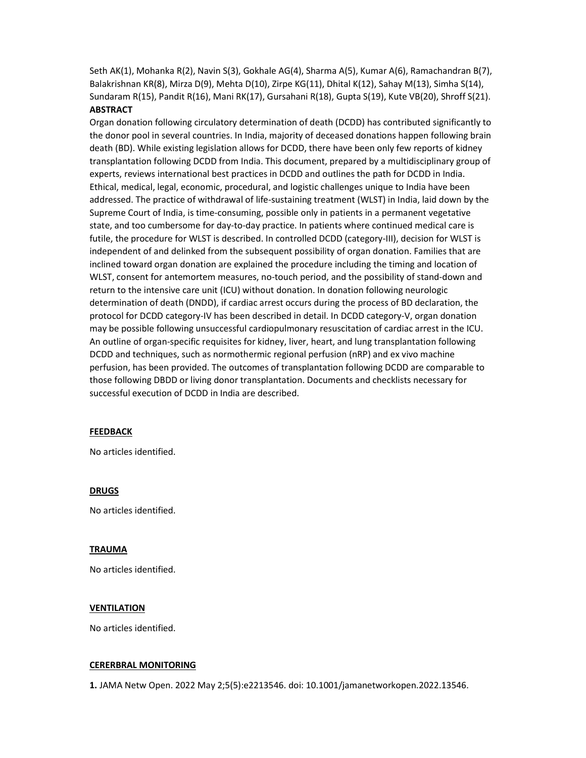Seth AK(1), Mohanka R(2), Navin S(3), Gokhale AG(4), Sharma A(5), Kumar A(6), Ramachandran B(7), Balakrishnan KR(8), Mirza D(9), Mehta D(10), Zirpe KG(11), Dhital K(12), Sahay M(13), Simha S(14), Sundaram R(15), Pandit R(16), Mani RK(17), Gursahani R(18), Gupta S(19), Kute VB(20), Shroff S(21). **ABSTRACT** 

Organ donation following circulatory determination of death (DCDD) has contributed significantly to the donor pool in several countries. In India, majority of deceased donations happen following brain death (BD). While existing legislation allows for DCDD, there have been only few reports of kidney transplantation following DCDD from India. This document, prepared by a multidisciplinary group of experts, reviews international best practices in DCDD and outlines the path for DCDD in India. Ethical, medical, legal, economic, procedural, and logistic challenges unique to India have been addressed. The practice of withdrawal of life-sustaining treatment (WLST) in India, laid down by the Supreme Court of India, is time-consuming, possible only in patients in a permanent vegetative state, and too cumbersome for day-to-day practice. In patients where continued medical care is futile, the procedure for WLST is described. In controlled DCDD (category-III), decision for WLST is independent of and delinked from the subsequent possibility of organ donation. Families that are inclined toward organ donation are explained the procedure including the timing and location of WLST, consent for antemortem measures, no-touch period, and the possibility of stand-down and return to the intensive care unit (ICU) without donation. In donation following neurologic determination of death (DNDD), if cardiac arrest occurs during the process of BD declaration, the protocol for DCDD category-IV has been described in detail. In DCDD category-V, organ donation may be possible following unsuccessful cardiopulmonary resuscitation of cardiac arrest in the ICU. An outline of organ-specific requisites for kidney, liver, heart, and lung transplantation following DCDD and techniques, such as normothermic regional perfusion (nRP) and ex vivo machine perfusion, has been provided. The outcomes of transplantation following DCDD are comparable to those following DBDD or living donor transplantation. Documents and checklists necessary for successful execution of DCDD in India are described.

#### FEEDBACK

No articles identified.

#### DRUGS

No articles identified.

#### TRAUMA

No articles identified.

#### VENTILATION

No articles identified.

#### CERERBRAL MONITORING

1. JAMA Netw Open. 2022 May 2;5(5):e2213546. doi: 10.1001/jamanetworkopen.2022.13546.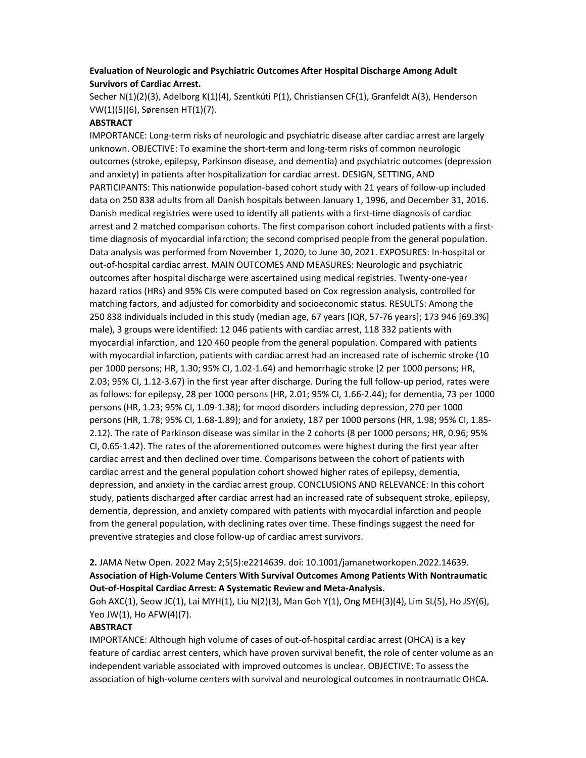## Evaluation of Neurologic and Psychiatric Outcomes After Hospital Discharge Among Adult Survivors of Cardiac Arrest.

Secher N(1)(2)(3), Adelborg K(1)(4), Szentkúti P(1), Christiansen CF(1), Granfeldt A(3), Henderson VW(1)(5)(6), Sørensen HT(1)(7).

#### **ABSTRACT**

IMPORTANCE: Long-term risks of neurologic and psychiatric disease after cardiac arrest are largely unknown. OBJECTIVE: To examine the short-term and long-term risks of common neurologic outcomes (stroke, epilepsy, Parkinson disease, and dementia) and psychiatric outcomes (depression and anxiety) in patients after hospitalization for cardiac arrest. DESIGN, SETTING, AND PARTICIPANTS: This nationwide population-based cohort study with 21 years of follow-up included data on 250 838 adults from all Danish hospitals between January 1, 1996, and December 31, 2016. Danish medical registries were used to identify all patients with a first-time diagnosis of cardiac arrest and 2 matched comparison cohorts. The first comparison cohort included patients with a firsttime diagnosis of myocardial infarction; the second comprised people from the general population. Data analysis was performed from November 1, 2020, to June 30, 2021. EXPOSURES: In-hospital or out-of-hospital cardiac arrest. MAIN OUTCOMES AND MEASURES: Neurologic and psychiatric outcomes after hospital discharge were ascertained using medical registries. Twenty-one-year hazard ratios (HRs) and 95% CIs were computed based on Cox regression analysis, controlled for matching factors, and adjusted for comorbidity and socioeconomic status. RESULTS: Among the 250 838 individuals included in this study (median age, 67 years [IQR, 57-76 years]; 173 946 [69.3%] male), 3 groups were identified: 12 046 patients with cardiac arrest, 118 332 patients with myocardial infarction, and 120 460 people from the general population. Compared with patients with myocardial infarction, patients with cardiac arrest had an increased rate of ischemic stroke (10 per 1000 persons; HR, 1.30; 95% CI, 1.02-1.64) and hemorrhagic stroke (2 per 1000 persons; HR, 2.03; 95% CI, 1.12-3.67) in the first year after discharge. During the full follow-up period, rates were as follows: for epilepsy, 28 per 1000 persons (HR, 2.01; 95% CI, 1.66-2.44); for dementia, 73 per 1000 persons (HR, 1.23; 95% CI, 1.09-1.38); for mood disorders including depression, 270 per 1000 persons (HR, 1.78; 95% CI, 1.68-1.89); and for anxiety, 187 per 1000 persons (HR, 1.98; 95% CI, 1.85- 2.12). The rate of Parkinson disease was similar in the 2 cohorts (8 per 1000 persons; HR, 0.96; 95% CI, 0.65-1.42). The rates of the aforementioned outcomes were highest during the first year after cardiac arrest and then declined over time. Comparisons between the cohort of patients with cardiac arrest and the general population cohort showed higher rates of epilepsy, dementia, depression, and anxiety in the cardiac arrest group. CONCLUSIONS AND RELEVANCE: In this cohort study, patients discharged after cardiac arrest had an increased rate of subsequent stroke, epilepsy, dementia, depression, and anxiety compared with patients with myocardial infarction and people from the general population, with declining rates over time. These findings suggest the need for preventive strategies and close follow-up of cardiac arrest survivors.

## 2. JAMA Netw Open. 2022 May 2;5(5):e2214639. doi: 10.1001/jamanetworkopen.2022.14639. Association of High-Volume Centers With Survival Outcomes Among Patients With Nontraumatic Out-of-Hospital Cardiac Arrest: A Systematic Review and Meta-Analysis.

Goh AXC(1), Seow JC(1), Lai MYH(1), Liu N(2)(3), Man Goh Y(1), Ong MEH(3)(4), Lim SL(5), Ho JSY(6), Yeo JW(1), Ho AFW(4)(7).

#### **ABSTRACT**

IMPORTANCE: Although high volume of cases of out-of-hospital cardiac arrest (OHCA) is a key feature of cardiac arrest centers, which have proven survival benefit, the role of center volume as an independent variable associated with improved outcomes is unclear. OBJECTIVE: To assess the association of high-volume centers with survival and neurological outcomes in nontraumatic OHCA.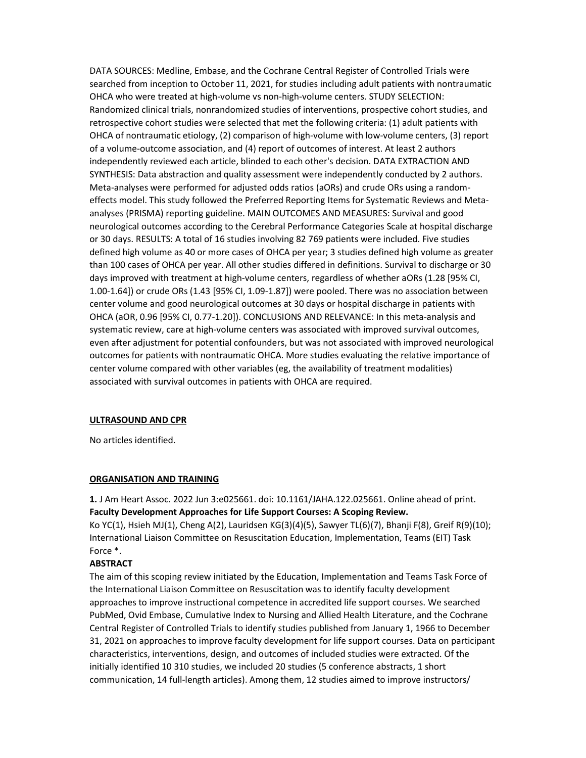DATA SOURCES: Medline, Embase, and the Cochrane Central Register of Controlled Trials were searched from inception to October 11, 2021, for studies including adult patients with nontraumatic OHCA who were treated at high-volume vs non-high-volume centers. STUDY SELECTION: Randomized clinical trials, nonrandomized studies of interventions, prospective cohort studies, and retrospective cohort studies were selected that met the following criteria: (1) adult patients with OHCA of nontraumatic etiology, (2) comparison of high-volume with low-volume centers, (3) report of a volume-outcome association, and (4) report of outcomes of interest. At least 2 authors independently reviewed each article, blinded to each other's decision. DATA EXTRACTION AND SYNTHESIS: Data abstraction and quality assessment were independently conducted by 2 authors. Meta-analyses were performed for adjusted odds ratios (aORs) and crude ORs using a randomeffects model. This study followed the Preferred Reporting Items for Systematic Reviews and Metaanalyses (PRISMA) reporting guideline. MAIN OUTCOMES AND MEASURES: Survival and good neurological outcomes according to the Cerebral Performance Categories Scale at hospital discharge or 30 days. RESULTS: A total of 16 studies involving 82 769 patients were included. Five studies defined high volume as 40 or more cases of OHCA per year; 3 studies defined high volume as greater than 100 cases of OHCA per year. All other studies differed in definitions. Survival to discharge or 30 days improved with treatment at high-volume centers, regardless of whether aORs (1.28 [95% CI, 1.00-1.64]) or crude ORs (1.43 [95% CI, 1.09-1.87]) were pooled. There was no association between center volume and good neurological outcomes at 30 days or hospital discharge in patients with OHCA (aOR, 0.96 [95% CI, 0.77-1.20]). CONCLUSIONS AND RELEVANCE: In this meta-analysis and systematic review, care at high-volume centers was associated with improved survival outcomes, even after adjustment for potential confounders, but was not associated with improved neurological outcomes for patients with nontraumatic OHCA. More studies evaluating the relative importance of center volume compared with other variables (eg, the availability of treatment modalities) associated with survival outcomes in patients with OHCA are required.

#### ULTRASOUND AND CPR

No articles identified.

#### ORGANISATION AND TRAINING

1. J Am Heart Assoc. 2022 Jun 3:e025661. doi: 10.1161/JAHA.122.025661. Online ahead of print. Faculty Development Approaches for Life Support Courses: A Scoping Review. Ko YC(1), Hsieh MJ(1), Cheng A(2), Lauridsen KG(3)(4)(5), Sawyer TL(6)(7), Bhanji F(8), Greif R(9)(10);

International Liaison Committee on Resuscitation Education, Implementation, Teams (EIT) Task Force \*.

#### **ABSTRACT**

The aim of this scoping review initiated by the Education, Implementation and Teams Task Force of the International Liaison Committee on Resuscitation was to identify faculty development approaches to improve instructional competence in accredited life support courses. We searched PubMed, Ovid Embase, Cumulative Index to Nursing and Allied Health Literature, and the Cochrane Central Register of Controlled Trials to identify studies published from January 1, 1966 to December 31, 2021 on approaches to improve faculty development for life support courses. Data on participant characteristics, interventions, design, and outcomes of included studies were extracted. Of the initially identified 10 310 studies, we included 20 studies (5 conference abstracts, 1 short communication, 14 full-length articles). Among them, 12 studies aimed to improve instructors/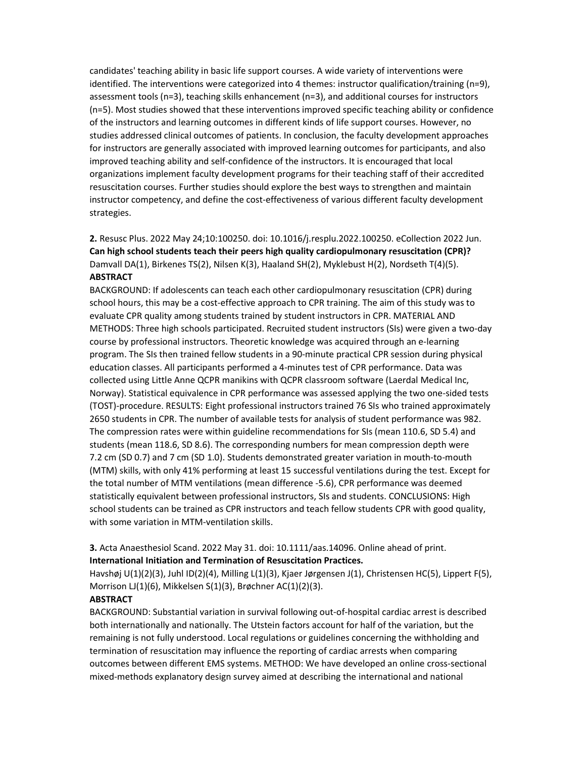candidates' teaching ability in basic life support courses. A wide variety of interventions were identified. The interventions were categorized into 4 themes: instructor qualification/training (n=9), assessment tools (n=3), teaching skills enhancement (n=3), and additional courses for instructors (n=5). Most studies showed that these interventions improved specific teaching ability or confidence of the instructors and learning outcomes in different kinds of life support courses. However, no studies addressed clinical outcomes of patients. In conclusion, the faculty development approaches for instructors are generally associated with improved learning outcomes for participants, and also improved teaching ability and self-confidence of the instructors. It is encouraged that local organizations implement faculty development programs for their teaching staff of their accredited resuscitation courses. Further studies should explore the best ways to strengthen and maintain instructor competency, and define the cost-effectiveness of various different faculty development strategies.

2. Resusc Plus. 2022 May 24;10:100250. doi: 10.1016/j.resplu.2022.100250. eCollection 2022 Jun. Can high school students teach their peers high quality cardiopulmonary resuscitation (CPR)? Damvall DA(1), Birkenes TS(2), Nilsen K(3), Haaland SH(2), Myklebust H(2), Nordseth T(4)(5). ABSTRACT

BACKGROUND: If adolescents can teach each other cardiopulmonary resuscitation (CPR) during school hours, this may be a cost-effective approach to CPR training. The aim of this study was to evaluate CPR quality among students trained by student instructors in CPR. MATERIAL AND METHODS: Three high schools participated. Recruited student instructors (SIs) were given a two-day course by professional instructors. Theoretic knowledge was acquired through an e-learning program. The SIs then trained fellow students in a 90-minute practical CPR session during physical education classes. All participants performed a 4-minutes test of CPR performance. Data was collected using Little Anne QCPR manikins with QCPR classroom software (Laerdal Medical Inc, Norway). Statistical equivalence in CPR performance was assessed applying the two one-sided tests (TOST)-procedure. RESULTS: Eight professional instructors trained 76 SIs who trained approximately 2650 students in CPR. The number of available tests for analysis of student performance was 982. The compression rates were within guideline recommendations for SIs (mean 110.6, SD 5.4) and students (mean 118.6, SD 8.6). The corresponding numbers for mean compression depth were 7.2 cm (SD 0.7) and 7 cm (SD 1.0). Students demonstrated greater variation in mouth-to-mouth (MTM) skills, with only 41% performing at least 15 successful ventilations during the test. Except for the total number of MTM ventilations (mean difference -5.6), CPR performance was deemed statistically equivalent between professional instructors, SIs and students. CONCLUSIONS: High school students can be trained as CPR instructors and teach fellow students CPR with good quality, with some variation in MTM-ventilation skills.

3. Acta Anaesthesiol Scand. 2022 May 31. doi: 10.1111/aas.14096. Online ahead of print. International Initiation and Termination of Resuscitation Practices.

Havshøj U(1)(2)(3), Juhl ID(2)(4), Milling L(1)(3), Kjaer Jørgensen J(1), Christensen HC(5), Lippert F(5), Morrison LJ(1)(6), Mikkelsen S(1)(3), Brøchner AC(1)(2)(3).

#### **ABSTRACT**

BACKGROUND: Substantial variation in survival following out-of-hospital cardiac arrest is described both internationally and nationally. The Utstein factors account for half of the variation, but the remaining is not fully understood. Local regulations or guidelines concerning the withholding and termination of resuscitation may influence the reporting of cardiac arrests when comparing outcomes between different EMS systems. METHOD: We have developed an online cross-sectional mixed-methods explanatory design survey aimed at describing the international and national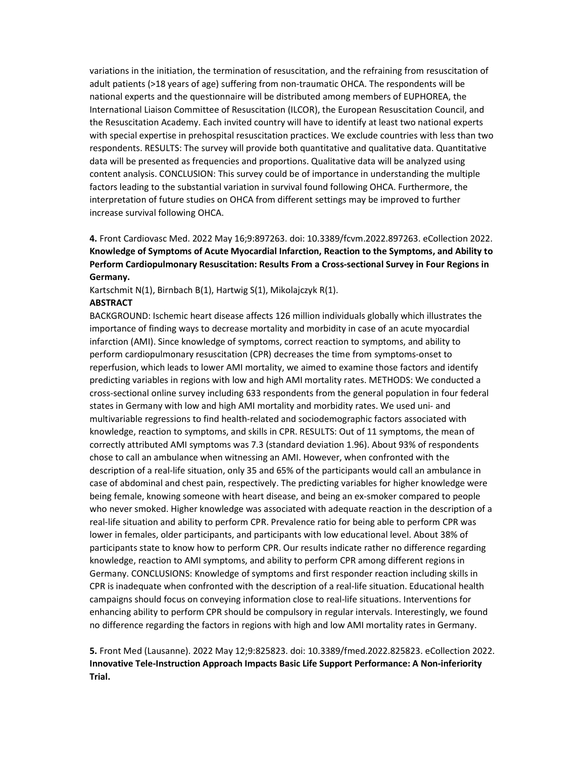variations in the initiation, the termination of resuscitation, and the refraining from resuscitation of adult patients (>18 years of age) suffering from non-traumatic OHCA. The respondents will be national experts and the questionnaire will be distributed among members of EUPHOREA, the International Liaison Committee of Resuscitation (ILCOR), the European Resuscitation Council, and the Resuscitation Academy. Each invited country will have to identify at least two national experts with special expertise in prehospital resuscitation practices. We exclude countries with less than two respondents. RESULTS: The survey will provide both quantitative and qualitative data. Quantitative data will be presented as frequencies and proportions. Qualitative data will be analyzed using content analysis. CONCLUSION: This survey could be of importance in understanding the multiple factors leading to the substantial variation in survival found following OHCA. Furthermore, the interpretation of future studies on OHCA from different settings may be improved to further increase survival following OHCA.

4. Front Cardiovasc Med. 2022 May 16;9:897263. doi: 10.3389/fcvm.2022.897263. eCollection 2022. Knowledge of Symptoms of Acute Myocardial Infarction, Reaction to the Symptoms, and Ability to Perform Cardiopulmonary Resuscitation: Results From a Cross-sectional Survey in Four Regions in Germany.

Kartschmit N(1), Birnbach B(1), Hartwig S(1), Mikolajczyk R(1).

#### **ABSTRACT**

BACKGROUND: Ischemic heart disease affects 126 million individuals globally which illustrates the importance of finding ways to decrease mortality and morbidity in case of an acute myocardial infarction (AMI). Since knowledge of symptoms, correct reaction to symptoms, and ability to perform cardiopulmonary resuscitation (CPR) decreases the time from symptoms-onset to reperfusion, which leads to lower AMI mortality, we aimed to examine those factors and identify predicting variables in regions with low and high AMI mortality rates. METHODS: We conducted a cross-sectional online survey including 633 respondents from the general population in four federal states in Germany with low and high AMI mortality and morbidity rates. We used uni- and multivariable regressions to find health-related and sociodemographic factors associated with knowledge, reaction to symptoms, and skills in CPR. RESULTS: Out of 11 symptoms, the mean of correctly attributed AMI symptoms was 7.3 (standard deviation 1.96). About 93% of respondents chose to call an ambulance when witnessing an AMI. However, when confronted with the description of a real-life situation, only 35 and 65% of the participants would call an ambulance in case of abdominal and chest pain, respectively. The predicting variables for higher knowledge were being female, knowing someone with heart disease, and being an ex-smoker compared to people who never smoked. Higher knowledge was associated with adequate reaction in the description of a real-life situation and ability to perform CPR. Prevalence ratio for being able to perform CPR was lower in females, older participants, and participants with low educational level. About 38% of participants state to know how to perform CPR. Our results indicate rather no difference regarding knowledge, reaction to AMI symptoms, and ability to perform CPR among different regions in Germany. CONCLUSIONS: Knowledge of symptoms and first responder reaction including skills in CPR is inadequate when confronted with the description of a real-life situation. Educational health campaigns should focus on conveying information close to real-life situations. Interventions for enhancing ability to perform CPR should be compulsory in regular intervals. Interestingly, we found no difference regarding the factors in regions with high and low AMI mortality rates in Germany.

5. Front Med (Lausanne). 2022 May 12;9:825823. doi: 10.3389/fmed.2022.825823. eCollection 2022. Innovative Tele-Instruction Approach Impacts Basic Life Support Performance: A Non-inferiority Trial.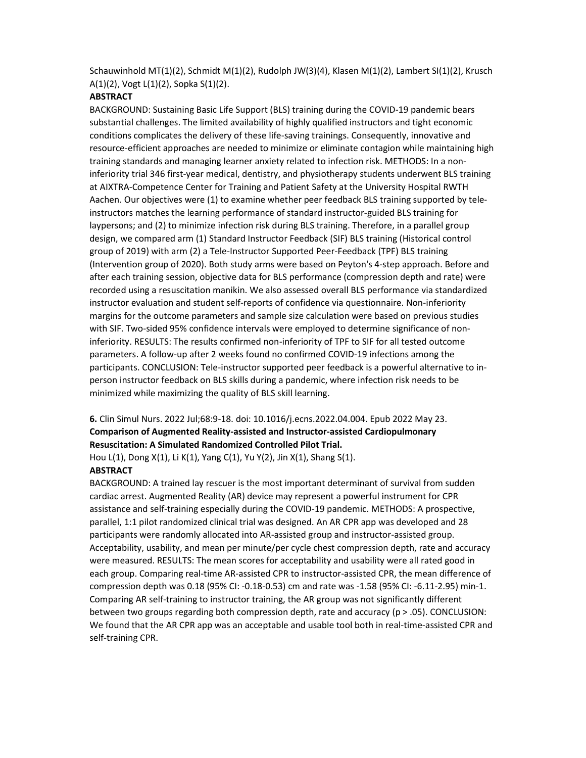Schauwinhold MT(1)(2), Schmidt M(1)(2), Rudolph JW(3)(4), Klasen M(1)(2), Lambert SI(1)(2), Krusch A(1)(2), Vogt L(1)(2), Sopka S(1)(2).

#### **ABSTRACT**

BACKGROUND: Sustaining Basic Life Support (BLS) training during the COVID-19 pandemic bears substantial challenges. The limited availability of highly qualified instructors and tight economic conditions complicates the delivery of these life-saving trainings. Consequently, innovative and resource-efficient approaches are needed to minimize or eliminate contagion while maintaining high training standards and managing learner anxiety related to infection risk. METHODS: In a noninferiority trial 346 first-year medical, dentistry, and physiotherapy students underwent BLS training at AIXTRA-Competence Center for Training and Patient Safety at the University Hospital RWTH Aachen. Our objectives were (1) to examine whether peer feedback BLS training supported by teleinstructors matches the learning performance of standard instructor-guided BLS training for laypersons; and (2) to minimize infection risk during BLS training. Therefore, in a parallel group design, we compared arm (1) Standard Instructor Feedback (SIF) BLS training (Historical control group of 2019) with arm (2) a Tele-Instructor Supported Peer-Feedback (TPF) BLS training (Intervention group of 2020). Both study arms were based on Peyton's 4-step approach. Before and after each training session, objective data for BLS performance (compression depth and rate) were recorded using a resuscitation manikin. We also assessed overall BLS performance via standardized instructor evaluation and student self-reports of confidence via questionnaire. Non-inferiority margins for the outcome parameters and sample size calculation were based on previous studies with SIF. Two-sided 95% confidence intervals were employed to determine significance of noninferiority. RESULTS: The results confirmed non-inferiority of TPF to SIF for all tested outcome parameters. A follow-up after 2 weeks found no confirmed COVID-19 infections among the participants. CONCLUSION: Tele-instructor supported peer feedback is a powerful alternative to inperson instructor feedback on BLS skills during a pandemic, where infection risk needs to be minimized while maximizing the quality of BLS skill learning.

# 6. Clin Simul Nurs. 2022 Jul;68:9-18. doi: 10.1016/j.ecns.2022.04.004. Epub 2022 May 23. Comparison of Augmented Reality-assisted and Instructor-assisted Cardiopulmonary Resuscitation: A Simulated Randomized Controlled Pilot Trial.

Hou L(1), Dong X(1), Li K(1), Yang C(1), Yu Y(2), Jin X(1), Shang S(1).

# **ABSTRACT**

BACKGROUND: A trained lay rescuer is the most important determinant of survival from sudden cardiac arrest. Augmented Reality (AR) device may represent a powerful instrument for CPR assistance and self-training especially during the COVID-19 pandemic. METHODS: A prospective, parallel, 1:1 pilot randomized clinical trial was designed. An AR CPR app was developed and 28 participants were randomly allocated into AR-assisted group and instructor-assisted group. Acceptability, usability, and mean per minute/per cycle chest compression depth, rate and accuracy were measured. RESULTS: The mean scores for acceptability and usability were all rated good in each group. Comparing real-time AR-assisted CPR to instructor-assisted CPR, the mean difference of compression depth was 0.18 (95% CI: -0.18-0.53) cm and rate was -1.58 (95% CI: -6.11-2.95) min-1. Comparing AR self-training to instructor training, the AR group was not significantly different between two groups regarding both compression depth, rate and accuracy ( $p > .05$ ). CONCLUSION: We found that the AR CPR app was an acceptable and usable tool both in real-time-assisted CPR and self-training CPR.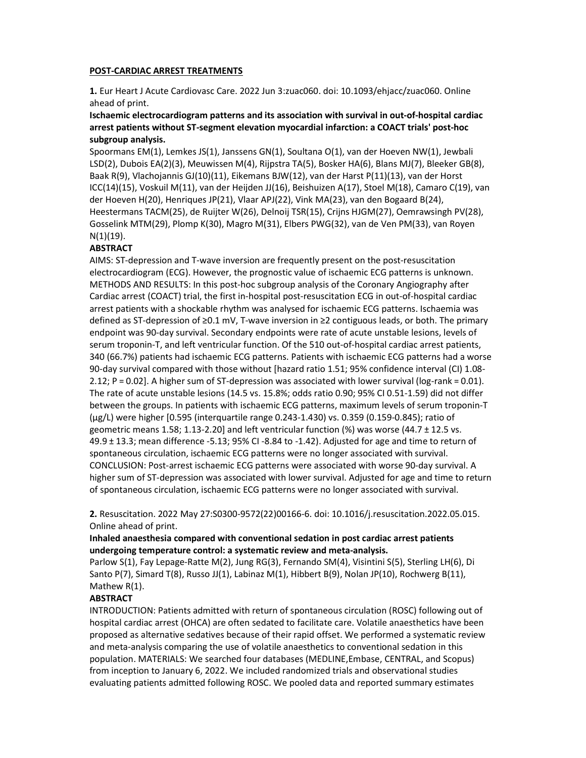#### POST-CARDIAC ARREST TREATMENTS

1. Eur Heart J Acute Cardiovasc Care. 2022 Jun 3:zuac060. doi: 10.1093/ehjacc/zuac060. Online ahead of print.

## Ischaemic electrocardiogram patterns and its association with survival in out-of-hospital cardiac arrest patients without ST-segment elevation myocardial infarction: a COACT trials' post-hoc subgroup analysis.

Spoormans EM(1), Lemkes JS(1), Janssens GN(1), Soultana O(1), van der Hoeven NW(1), Jewbali LSD(2), Dubois EA(2)(3), Meuwissen M(4), Rijpstra TA(5), Bosker HA(6), Blans MJ(7), Bleeker GB(8), Baak R(9), Vlachojannis GJ(10)(11), Eikemans BJW(12), van der Harst P(11)(13), van der Horst ICC(14)(15), Voskuil M(11), van der Heijden JJ(16), Beishuizen A(17), Stoel M(18), Camaro C(19), van der Hoeven H(20), Henriques JP(21), Vlaar APJ(22), Vink MA(23), van den Bogaard B(24), Heestermans TACM(25), de Ruijter W(26), Delnoij TSR(15), Crijns HJGM(27), Oemrawsingh PV(28), Gosselink MTM(29), Plomp K(30), Magro M(31), Elbers PWG(32), van de Ven PM(33), van Royen N(1)(19).

#### **ABSTRACT**

AIMS: ST-depression and T-wave inversion are frequently present on the post-resuscitation electrocardiogram (ECG). However, the prognostic value of ischaemic ECG patterns is unknown. METHODS AND RESULTS: In this post-hoc subgroup analysis of the Coronary Angiography after Cardiac arrest (COACT) trial, the first in-hospital post-resuscitation ECG in out-of-hospital cardiac arrest patients with a shockable rhythm was analysed for ischaemic ECG patterns. Ischaemia was defined as ST-depression of ≥0.1 mV, T-wave inversion in ≥2 contiguous leads, or both. The primary endpoint was 90-day survival. Secondary endpoints were rate of acute unstable lesions, levels of serum troponin-T, and left ventricular function. Of the 510 out-of-hospital cardiac arrest patients, 340 (66.7%) patients had ischaemic ECG patterns. Patients with ischaemic ECG patterns had a worse 90-day survival compared with those without [hazard ratio 1.51; 95% confidence interval (CI) 1.08- 2.12; P = 0.02]. A higher sum of ST-depression was associated with lower survival (log-rank = 0.01). The rate of acute unstable lesions (14.5 vs. 15.8%; odds ratio 0.90; 95% CI 0.51-1.59) did not differ between the groups. In patients with ischaemic ECG patterns, maximum levels of serum troponin-T (μg/L) were higher [0.595 (interquartile range 0.243-1.430) vs. 0.359 (0.159-0.845); ratio of geometric means 1.58; 1.13-2.20] and left ventricular function (%) was worse (44.7 ± 12.5 vs. 49.9 ± 13.3; mean difference -5.13; 95% CI -8.84 to -1.42). Adjusted for age and time to return of spontaneous circulation, ischaemic ECG patterns were no longer associated with survival. CONCLUSION: Post-arrest ischaemic ECG patterns were associated with worse 90-day survival. A higher sum of ST-depression was associated with lower survival. Adjusted for age and time to return of spontaneous circulation, ischaemic ECG patterns were no longer associated with survival.

2. Resuscitation. 2022 May 27:S0300-9572(22)00166-6. doi: 10.1016/j.resuscitation.2022.05.015. Online ahead of print.

#### Inhaled anaesthesia compared with conventional sedation in post cardiac arrest patients undergoing temperature control: a systematic review and meta-analysis.

Parlow S(1), Fay Lepage-Ratte M(2), Jung RG(3), Fernando SM(4), Visintini S(5), Sterling LH(6), Di Santo P(7), Simard T(8), Russo JJ(1), Labinaz M(1), Hibbert B(9), Nolan JP(10), Rochwerg B(11), Mathew R(1).

#### **ABSTRACT**

INTRODUCTION: Patients admitted with return of spontaneous circulation (ROSC) following out of hospital cardiac arrest (OHCA) are often sedated to facilitate care. Volatile anaesthetics have been proposed as alternative sedatives because of their rapid offset. We performed a systematic review and meta-analysis comparing the use of volatile anaesthetics to conventional sedation in this population. MATERIALS: We searched four databases (MEDLINE,Embase, CENTRAL, and Scopus) from inception to January 6, 2022. We included randomized trials and observational studies evaluating patients admitted following ROSC. We pooled data and reported summary estimates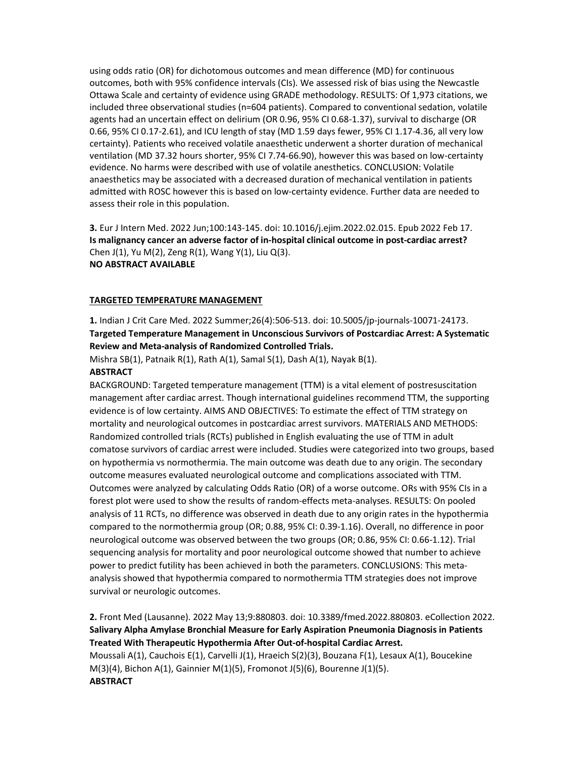using odds ratio (OR) for dichotomous outcomes and mean difference (MD) for continuous outcomes, both with 95% confidence intervals (CIs). We assessed risk of bias using the Newcastle Ottawa Scale and certainty of evidence using GRADE methodology. RESULTS: Of 1,973 citations, we included three observational studies (n=604 patients). Compared to conventional sedation, volatile agents had an uncertain effect on delirium (OR 0.96, 95% CI 0.68-1.37), survival to discharge (OR 0.66, 95% CI 0.17-2.61), and ICU length of stay (MD 1.59 days fewer, 95% CI 1.17-4.36, all very low certainty). Patients who received volatile anaesthetic underwent a shorter duration of mechanical ventilation (MD 37.32 hours shorter, 95% CI 7.74-66.90), however this was based on low-certainty evidence. No harms were described with use of volatile anesthetics. CONCLUSION: Volatile anaesthetics may be associated with a decreased duration of mechanical ventilation in patients admitted with ROSC however this is based on low-certainty evidence. Further data are needed to assess their role in this population.

3. Eur J Intern Med. 2022 Jun;100:143-145. doi: 10.1016/j.ejim.2022.02.015. Epub 2022 Feb 17. Is malignancy cancer an adverse factor of in-hospital clinical outcome in post-cardiac arrest? Chen J(1), Yu M(2), Zeng R(1), Wang Y(1), Liu Q(3). NO ABSTRACT AVAILABLE

#### TARGETED TEMPERATURE MANAGEMENT

1. Indian J Crit Care Med. 2022 Summer;26(4):506-513. doi: 10.5005/jp-journals-10071-24173. Targeted Temperature Management in Unconscious Survivors of Postcardiac Arrest: A Systematic Review and Meta-analysis of Randomized Controlled Trials.

Mishra SB(1), Patnaik R(1), Rath A(1), Samal S(1), Dash A(1), Nayak B(1).

## **ABSTRACT**

BACKGROUND: Targeted temperature management (TTM) is a vital element of postresuscitation management after cardiac arrest. Though international guidelines recommend TTM, the supporting evidence is of low certainty. AIMS AND OBJECTIVES: To estimate the effect of TTM strategy on mortality and neurological outcomes in postcardiac arrest survivors. MATERIALS AND METHODS: Randomized controlled trials (RCTs) published in English evaluating the use of TTM in adult comatose survivors of cardiac arrest were included. Studies were categorized into two groups, based on hypothermia vs normothermia. The main outcome was death due to any origin. The secondary outcome measures evaluated neurological outcome and complications associated with TTM. Outcomes were analyzed by calculating Odds Ratio (OR) of a worse outcome. ORs with 95% CIs in a forest plot were used to show the results of random-effects meta-analyses. RESULTS: On pooled analysis of 11 RCTs, no difference was observed in death due to any origin rates in the hypothermia compared to the normothermia group (OR; 0.88, 95% CI: 0.39-1.16). Overall, no difference in poor neurological outcome was observed between the two groups (OR; 0.86, 95% CI: 0.66-1.12). Trial sequencing analysis for mortality and poor neurological outcome showed that number to achieve power to predict futility has been achieved in both the parameters. CONCLUSIONS: This metaanalysis showed that hypothermia compared to normothermia TTM strategies does not improve survival or neurologic outcomes.

2. Front Med (Lausanne). 2022 May 13;9:880803. doi: 10.3389/fmed.2022.880803. eCollection 2022. Salivary Alpha Amylase Bronchial Measure for Early Aspiration Pneumonia Diagnosis in Patients Treated With Therapeutic Hypothermia After Out-of-hospital Cardiac Arrest. Moussali A(1), Cauchois E(1), Carvelli J(1), Hraeich S(2)(3), Bouzana F(1), Lesaux A(1), Boucekine M(3)(4), Bichon A(1), Gainnier M(1)(5), Fromonot J(5)(6), Bourenne J(1)(5). **ABSTRACT**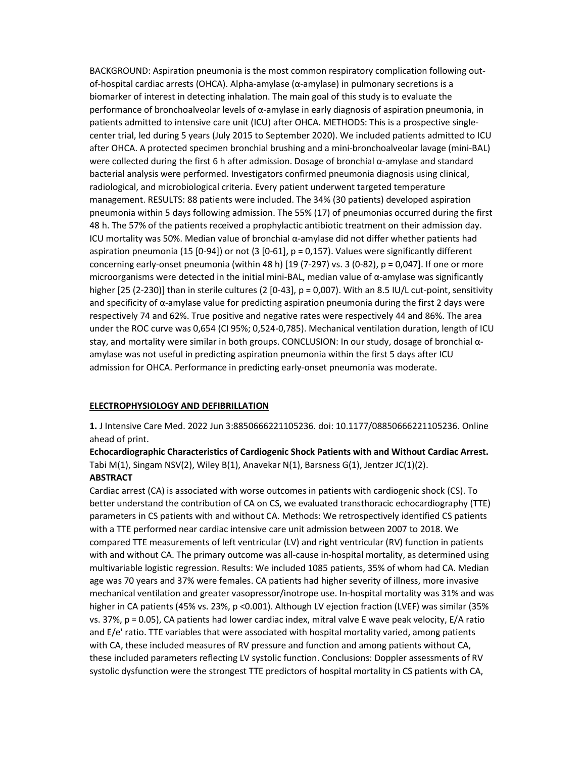BACKGROUND: Aspiration pneumonia is the most common respiratory complication following outof-hospital cardiac arrests (OHCA). Alpha-amylase (α-amylase) in pulmonary secretions is a biomarker of interest in detecting inhalation. The main goal of this study is to evaluate the performance of bronchoalveolar levels of α-amylase in early diagnosis of aspiration pneumonia, in patients admitted to intensive care unit (ICU) after OHCA. METHODS: This is a prospective singlecenter trial, led during 5 years (July 2015 to September 2020). We included patients admitted to ICU after OHCA. A protected specimen bronchial brushing and a mini-bronchoalveolar lavage (mini-BAL) were collected during the first 6 h after admission. Dosage of bronchial α-amylase and standard bacterial analysis were performed. Investigators confirmed pneumonia diagnosis using clinical, radiological, and microbiological criteria. Every patient underwent targeted temperature management. RESULTS: 88 patients were included. The 34% (30 patients) developed aspiration pneumonia within 5 days following admission. The 55% (17) of pneumonias occurred during the first 48 h. The 57% of the patients received a prophylactic antibiotic treatment on their admission day. ICU mortality was 50%. Median value of bronchial α-amylase did not differ whether patients had aspiration pneumonia (15 [0-94]) or not (3 [0-61], p = 0,157). Values were significantly different concerning early-onset pneumonia (within 48 h) [19 (7-297) vs. 3 (0-82), p = 0,047]. If one or more microorganisms were detected in the initial mini-BAL, median value of  $\alpha$ -amylase was significantly higher [25 (2-230)] than in sterile cultures (2 [0-43], p = 0,007). With an 8.5 IU/L cut-point, sensitivity and specificity of  $\alpha$ -amylase value for predicting aspiration pneumonia during the first 2 days were respectively 74 and 62%. True positive and negative rates were respectively 44 and 86%. The area under the ROC curve was 0,654 (CI 95%; 0,524-0,785). Mechanical ventilation duration, length of ICU stay, and mortality were similar in both groups. CONCLUSION: In our study, dosage of bronchial αamylase was not useful in predicting aspiration pneumonia within the first 5 days after ICU admission for OHCA. Performance in predicting early-onset pneumonia was moderate.

#### ELECTROPHYSIOLOGY AND DEFIBRILLATION

1. J Intensive Care Med. 2022 Jun 3:8850666221105236. doi: 10.1177/08850666221105236. Online ahead of print.

Echocardiographic Characteristics of Cardiogenic Shock Patients with and Without Cardiac Arrest. Tabi M(1), Singam NSV(2), Wiley B(1), Anavekar N(1), Barsness G(1), Jentzer JC(1)(2). ABSTRACT

Cardiac arrest (CA) is associated with worse outcomes in patients with cardiogenic shock (CS). To better understand the contribution of CA on CS, we evaluated transthoracic echocardiography (TTE) parameters in CS patients with and without CA. Methods: We retrospectively identified CS patients with a TTE performed near cardiac intensive care unit admission between 2007 to 2018. We compared TTE measurements of left ventricular (LV) and right ventricular (RV) function in patients with and without CA. The primary outcome was all-cause in-hospital mortality, as determined using multivariable logistic regression. Results: We included 1085 patients, 35% of whom had CA. Median age was 70 years and 37% were females. CA patients had higher severity of illness, more invasive mechanical ventilation and greater vasopressor/inotrope use. In-hospital mortality was 31% and was higher in CA patients (45% vs. 23%, p < 0.001). Although LV ejection fraction (LVEF) was similar (35% vs. 37%, p = 0.05), CA patients had lower cardiac index, mitral valve E wave peak velocity, E/A ratio and E/e' ratio. TTE variables that were associated with hospital mortality varied, among patients with CA, these included measures of RV pressure and function and among patients without CA, these included parameters reflecting LV systolic function. Conclusions: Doppler assessments of RV systolic dysfunction were the strongest TTE predictors of hospital mortality in CS patients with CA,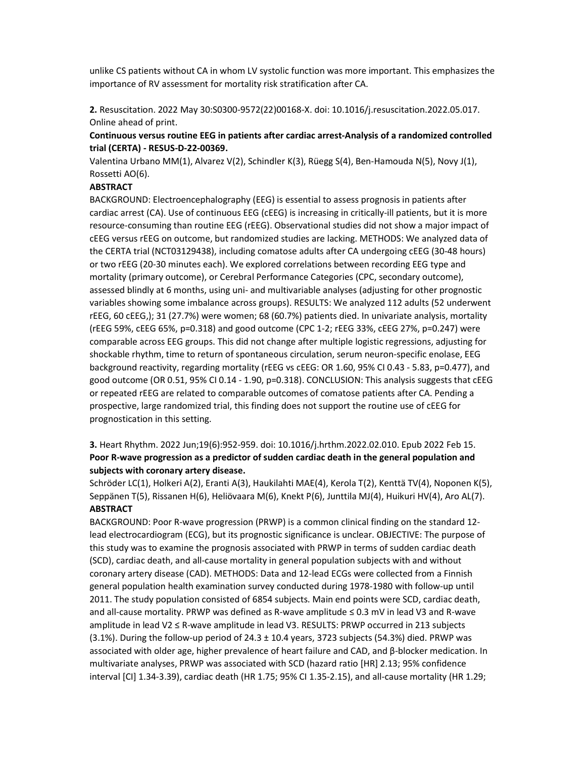unlike CS patients without CA in whom LV systolic function was more important. This emphasizes the importance of RV assessment for mortality risk stratification after CA.

2. Resuscitation. 2022 May 30:S0300-9572(22)00168-X. doi: 10.1016/j.resuscitation.2022.05.017. Online ahead of print.

## Continuous versus routine EEG in patients after cardiac arrest-Analysis of a randomized controlled trial (CERTA) - RESUS-D-22-00369.

Valentina Urbano MM(1), Alvarez V(2), Schindler K(3), Rüegg S(4), Ben-Hamouda N(5), Novy J(1), Rossetti AO(6).

#### **ABSTRACT**

BACKGROUND: Electroencephalography (EEG) is essential to assess prognosis in patients after cardiac arrest (CA). Use of continuous EEG (cEEG) is increasing in critically-ill patients, but it is more resource-consuming than routine EEG (rEEG). Observational studies did not show a major impact of cEEG versus rEEG on outcome, but randomized studies are lacking. METHODS: We analyzed data of the CERTA trial (NCT03129438), including comatose adults after CA undergoing cEEG (30-48 hours) or two rEEG (20-30 minutes each). We explored correlations between recording EEG type and mortality (primary outcome), or Cerebral Performance Categories (CPC, secondary outcome), assessed blindly at 6 months, using uni- and multivariable analyses (adjusting for other prognostic variables showing some imbalance across groups). RESULTS: We analyzed 112 adults (52 underwent rEEG, 60 cEEG,); 31 (27.7%) were women; 68 (60.7%) patients died. In univariate analysis, mortality (rEEG 59%, cEEG 65%, p=0.318) and good outcome (CPC 1-2; rEEG 33%, cEEG 27%, p=0.247) were comparable across EEG groups. This did not change after multiple logistic regressions, adjusting for shockable rhythm, time to return of spontaneous circulation, serum neuron-specific enolase, EEG background reactivity, regarding mortality (rEEG vs cEEG: OR 1.60, 95% CI 0.43 - 5.83, p=0.477), and good outcome (OR 0.51, 95% CI 0.14 - 1.90, p=0.318). CONCLUSION: This analysis suggests that cEEG or repeated rEEG are related to comparable outcomes of comatose patients after CA. Pending a prospective, large randomized trial, this finding does not support the routine use of cEEG for prognostication in this setting.

# 3. Heart Rhythm. 2022 Jun;19(6):952-959. doi: 10.1016/j.hrthm.2022.02.010. Epub 2022 Feb 15. Poor R-wave progression as a predictor of sudden cardiac death in the general population and subjects with coronary artery disease.

Schröder LC(1), Holkeri A(2), Eranti A(3), Haukilahti MAE(4), Kerola T(2), Kenttä TV(4), Noponen K(5), Seppänen T(5), Rissanen H(6), Heliövaara M(6), Knekt P(6), Junttila MJ(4), Huikuri HV(4), Aro AL(7). ABSTRACT

BACKGROUND: Poor R-wave progression (PRWP) is a common clinical finding on the standard 12 lead electrocardiogram (ECG), but its prognostic significance is unclear. OBJECTIVE: The purpose of this study was to examine the prognosis associated with PRWP in terms of sudden cardiac death (SCD), cardiac death, and all-cause mortality in general population subjects with and without coronary artery disease (CAD). METHODS: Data and 12-lead ECGs were collected from a Finnish general population health examination survey conducted during 1978-1980 with follow-up until 2011. The study population consisted of 6854 subjects. Main end points were SCD, cardiac death, and all-cause mortality. PRWP was defined as R-wave amplitude ≤ 0.3 mV in lead V3 and R-wave amplitude in lead V2 ≤ R-wave amplitude in lead V3. RESULTS: PRWP occurred in 213 subjects  $(3.1\%)$ . During the follow-up period of 24.3  $\pm$  10.4 years, 3723 subjects (54.3%) died. PRWP was associated with older age, higher prevalence of heart failure and CAD, and β-blocker medication. In multivariate analyses, PRWP was associated with SCD (hazard ratio [HR] 2.13; 95% confidence interval [CI] 1.34-3.39), cardiac death (HR 1.75; 95% CI 1.35-2.15), and all-cause mortality (HR 1.29;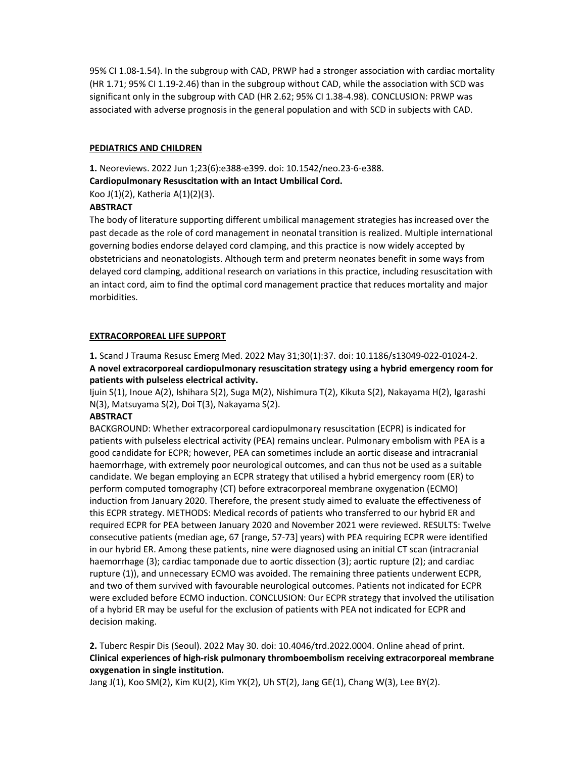95% CI 1.08-1.54). In the subgroup with CAD, PRWP had a stronger association with cardiac mortality (HR 1.71; 95% CI 1.19-2.46) than in the subgroup without CAD, while the association with SCD was significant only in the subgroup with CAD (HR 2.62; 95% CI 1.38-4.98). CONCLUSION: PRWP was associated with adverse prognosis in the general population and with SCD in subjects with CAD.

### PEDIATRICS AND CHILDREN

1. Neoreviews. 2022 Jun 1;23(6):e388-e399. doi: 10.1542/neo.23-6-e388.

Cardiopulmonary Resuscitation with an Intact Umbilical Cord.

Koo J(1)(2), Katheria A(1)(2)(3).

## **ABSTRACT**

The body of literature supporting different umbilical management strategies has increased over the past decade as the role of cord management in neonatal transition is realized. Multiple international governing bodies endorse delayed cord clamping, and this practice is now widely accepted by obstetricians and neonatologists. Although term and preterm neonates benefit in some ways from delayed cord clamping, additional research on variations in this practice, including resuscitation with an intact cord, aim to find the optimal cord management practice that reduces mortality and major morbidities.

## EXTRACORPOREAL LIFE SUPPORT

1. Scand J Trauma Resusc Emerg Med. 2022 May 31;30(1):37. doi: 10.1186/s13049-022-01024-2. A novel extracorporeal cardiopulmonary resuscitation strategy using a hybrid emergency room for patients with pulseless electrical activity.

Ijuin S(1), Inoue A(2), Ishihara S(2), Suga M(2), Nishimura T(2), Kikuta S(2), Nakayama H(2), Igarashi N(3), Matsuyama S(2), Doi T(3), Nakayama S(2).

#### **ABSTRACT**

BACKGROUND: Whether extracorporeal cardiopulmonary resuscitation (ECPR) is indicated for patients with pulseless electrical activity (PEA) remains unclear. Pulmonary embolism with PEA is a good candidate for ECPR; however, PEA can sometimes include an aortic disease and intracranial haemorrhage, with extremely poor neurological outcomes, and can thus not be used as a suitable candidate. We began employing an ECPR strategy that utilised a hybrid emergency room (ER) to perform computed tomography (CT) before extracorporeal membrane oxygenation (ECMO) induction from January 2020. Therefore, the present study aimed to evaluate the effectiveness of this ECPR strategy. METHODS: Medical records of patients who transferred to our hybrid ER and required ECPR for PEA between January 2020 and November 2021 were reviewed. RESULTS: Twelve consecutive patients (median age, 67 [range, 57-73] years) with PEA requiring ECPR were identified in our hybrid ER. Among these patients, nine were diagnosed using an initial CT scan (intracranial haemorrhage (3); cardiac tamponade due to aortic dissection (3); aortic rupture (2); and cardiac rupture (1)), and unnecessary ECMO was avoided. The remaining three patients underwent ECPR, and two of them survived with favourable neurological outcomes. Patients not indicated for ECPR were excluded before ECMO induction. CONCLUSION: Our ECPR strategy that involved the utilisation of a hybrid ER may be useful for the exclusion of patients with PEA not indicated for ECPR and decision making.

2. Tuberc Respir Dis (Seoul). 2022 May 30. doi: 10.4046/trd.2022.0004. Online ahead of print. Clinical experiences of high-risk pulmonary thromboembolism receiving extracorporeal membrane oxygenation in single institution.

Jang J(1), Koo SM(2), Kim KU(2), Kim YK(2), Uh ST(2), Jang GE(1), Chang W(3), Lee BY(2).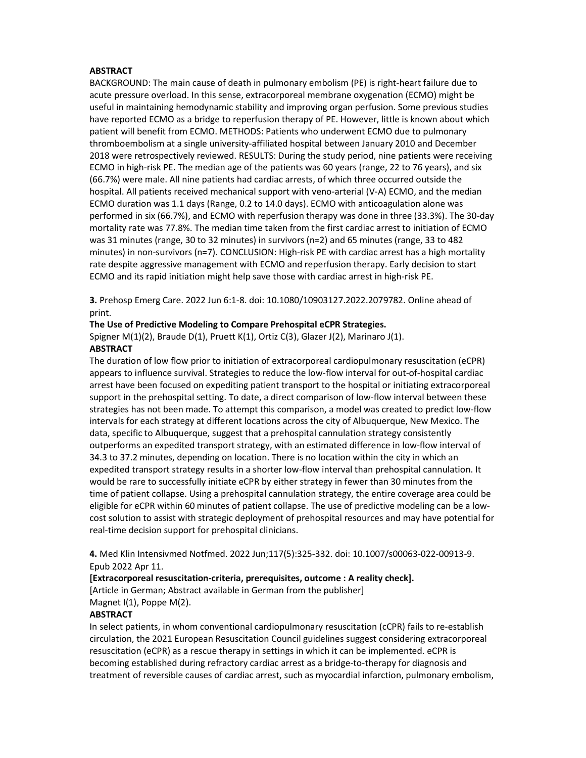#### **ABSTRACT**

BACKGROUND: The main cause of death in pulmonary embolism (PE) is right-heart failure due to acute pressure overload. In this sense, extracorporeal membrane oxygenation (ECMO) might be useful in maintaining hemodynamic stability and improving organ perfusion. Some previous studies have reported ECMO as a bridge to reperfusion therapy of PE. However, little is known about which patient will benefit from ECMO. METHODS: Patients who underwent ECMO due to pulmonary thromboembolism at a single university-affiliated hospital between January 2010 and December 2018 were retrospectively reviewed. RESULTS: During the study period, nine patients were receiving ECMO in high-risk PE. The median age of the patients was 60 years (range, 22 to 76 years), and six (66.7%) were male. All nine patients had cardiac arrests, of which three occurred outside the hospital. All patients received mechanical support with veno-arterial (V-A) ECMO, and the median ECMO duration was 1.1 days (Range, 0.2 to 14.0 days). ECMO with anticoagulation alone was performed in six (66.7%), and ECMO with reperfusion therapy was done in three (33.3%). The 30-day mortality rate was 77.8%. The median time taken from the first cardiac arrest to initiation of ECMO was 31 minutes (range, 30 to 32 minutes) in survivors (n=2) and 65 minutes (range, 33 to 482 minutes) in non-survivors (n=7). CONCLUSION: High-risk PE with cardiac arrest has a high mortality rate despite aggressive management with ECMO and reperfusion therapy. Early decision to start ECMO and its rapid initiation might help save those with cardiac arrest in high-risk PE.

3. Prehosp Emerg Care. 2022 Jun 6:1-8. doi: 10.1080/10903127.2022.2079782. Online ahead of print.

#### The Use of Predictive Modeling to Compare Prehospital eCPR Strategies.

Spigner M(1)(2), Braude D(1), Pruett K(1), Ortiz C(3), Glazer J(2), Marinaro J(1). **ABSTRACT** 

The duration of low flow prior to initiation of extracorporeal cardiopulmonary resuscitation (eCPR) appears to influence survival. Strategies to reduce the low-flow interval for out-of-hospital cardiac arrest have been focused on expediting patient transport to the hospital or initiating extracorporeal support in the prehospital setting. To date, a direct comparison of low-flow interval between these strategies has not been made. To attempt this comparison, a model was created to predict low-flow intervals for each strategy at different locations across the city of Albuquerque, New Mexico. The data, specific to Albuquerque, suggest that a prehospital cannulation strategy consistently outperforms an expedited transport strategy, with an estimated difference in low-flow interval of 34.3 to 37.2 minutes, depending on location. There is no location within the city in which an expedited transport strategy results in a shorter low-flow interval than prehospital cannulation. It would be rare to successfully initiate eCPR by either strategy in fewer than 30 minutes from the time of patient collapse. Using a prehospital cannulation strategy, the entire coverage area could be eligible for eCPR within 60 minutes of patient collapse. The use of predictive modeling can be a lowcost solution to assist with strategic deployment of prehospital resources and may have potential for real-time decision support for prehospital clinicians.

4. Med Klin Intensivmed Notfmed. 2022 Jun;117(5):325-332. doi: 10.1007/s00063-022-00913-9. Epub 2022 Apr 11.

[Extracorporeal resuscitation-criteria, prerequisites, outcome : A reality check].

[Article in German; Abstract available in German from the publisher] Magnet I(1), Poppe M(2).

#### **ABSTRACT**

In select patients, in whom conventional cardiopulmonary resuscitation (cCPR) fails to re-establish circulation, the 2021 European Resuscitation Council guidelines suggest considering extracorporeal resuscitation (eCPR) as a rescue therapy in settings in which it can be implemented. eCPR is becoming established during refractory cardiac arrest as a bridge-to-therapy for diagnosis and treatment of reversible causes of cardiac arrest, such as myocardial infarction, pulmonary embolism,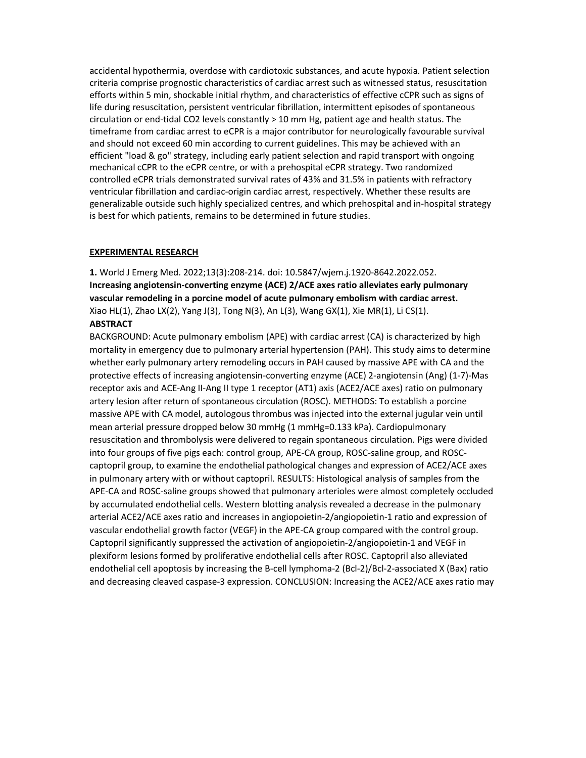accidental hypothermia, overdose with cardiotoxic substances, and acute hypoxia. Patient selection criteria comprise prognostic characteristics of cardiac arrest such as witnessed status, resuscitation efforts within 5 min, shockable initial rhythm, and characteristics of effective cCPR such as signs of life during resuscitation, persistent ventricular fibrillation, intermittent episodes of spontaneous circulation or end-tidal CO2 levels constantly > 10 mm Hg, patient age and health status. The timeframe from cardiac arrest to eCPR is a major contributor for neurologically favourable survival and should not exceed 60 min according to current guidelines. This may be achieved with an efficient "load & go" strategy, including early patient selection and rapid transport with ongoing mechanical cCPR to the eCPR centre, or with a prehospital eCPR strategy. Two randomized controlled eCPR trials demonstrated survival rates of 43% and 31.5% in patients with refractory ventricular fibrillation and cardiac-origin cardiac arrest, respectively. Whether these results are generalizable outside such highly specialized centres, and which prehospital and in-hospital strategy is best for which patients, remains to be determined in future studies.

#### EXPERIMENTAL RESEARCH

1. World J Emerg Med. 2022;13(3):208-214. doi: 10.5847/wjem.j.1920-8642.2022.052. Increasing angiotensin-converting enzyme (ACE) 2/ACE axes ratio alleviates early pulmonary vascular remodeling in a porcine model of acute pulmonary embolism with cardiac arrest. Xiao HL(1), Zhao LX(2), Yang J(3), Tong N(3), An L(3), Wang GX(1), Xie MR(1), Li CS(1). **ABSTRACT** 

BACKGROUND: Acute pulmonary embolism (APE) with cardiac arrest (CA) is characterized by high mortality in emergency due to pulmonary arterial hypertension (PAH). This study aims to determine whether early pulmonary artery remodeling occurs in PAH caused by massive APE with CA and the protective effects of increasing angiotensin-converting enzyme (ACE) 2-angiotensin (Ang) (1-7)-Mas receptor axis and ACE-Ang II-Ang II type 1 receptor (AT1) axis (ACE2/ACE axes) ratio on pulmonary artery lesion after return of spontaneous circulation (ROSC). METHODS: To establish a porcine massive APE with CA model, autologous thrombus was injected into the external jugular vein until mean arterial pressure dropped below 30 mmHg (1 mmHg=0.133 kPa). Cardiopulmonary resuscitation and thrombolysis were delivered to regain spontaneous circulation. Pigs were divided into four groups of five pigs each: control group, APE-CA group, ROSC-saline group, and ROSCcaptopril group, to examine the endothelial pathological changes and expression of ACE2/ACE axes in pulmonary artery with or without captopril. RESULTS: Histological analysis of samples from the APE-CA and ROSC-saline groups showed that pulmonary arterioles were almost completely occluded by accumulated endothelial cells. Western blotting analysis revealed a decrease in the pulmonary arterial ACE2/ACE axes ratio and increases in angiopoietin-2/angiopoietin-1 ratio and expression of vascular endothelial growth factor (VEGF) in the APE-CA group compared with the control group. Captopril significantly suppressed the activation of angiopoietin-2/angiopoietin-1 and VEGF in plexiform lesions formed by proliferative endothelial cells after ROSC. Captopril also alleviated endothelial cell apoptosis by increasing the B-cell lymphoma-2 (Bcl-2)/Bcl-2-associated X (Bax) ratio and decreasing cleaved caspase-3 expression. CONCLUSION: Increasing the ACE2/ACE axes ratio may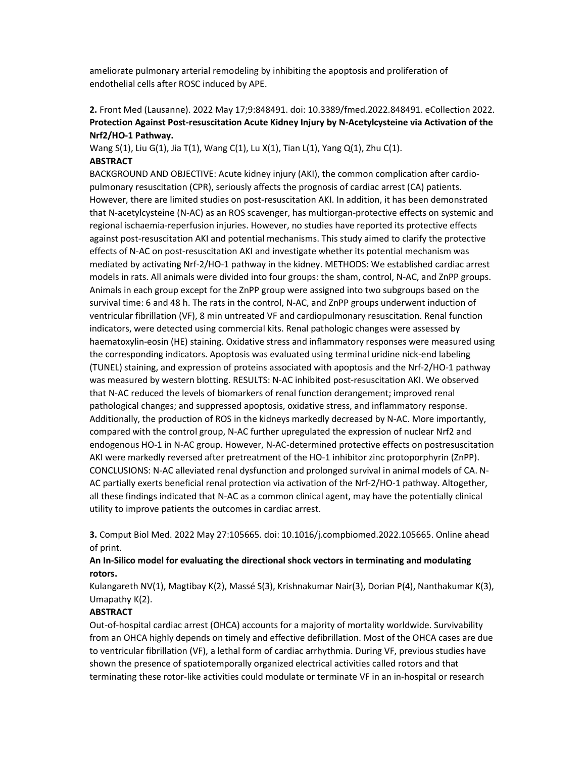ameliorate pulmonary arterial remodeling by inhibiting the apoptosis and proliferation of endothelial cells after ROSC induced by APE.

## 2. Front Med (Lausanne). 2022 May 17;9:848491. doi: 10.3389/fmed.2022.848491. eCollection 2022. Protection Against Post-resuscitation Acute Kidney Injury by N-Acetylcysteine via Activation of the Nrf2/HO-1 Pathway.

Wang S(1), Liu G(1), Jia T(1), Wang C(1), Lu X(1), Tian L(1), Yang Q(1), Zhu C(1). **ABSTRACT** 

BACKGROUND AND OBJECTIVE: Acute kidney injury (AKI), the common complication after cardiopulmonary resuscitation (CPR), seriously affects the prognosis of cardiac arrest (CA) patients. However, there are limited studies on post-resuscitation AKI. In addition, it has been demonstrated that N-acetylcysteine (N-AC) as an ROS scavenger, has multiorgan-protective effects on systemic and regional ischaemia-reperfusion injuries. However, no studies have reported its protective effects against post-resuscitation AKI and potential mechanisms. This study aimed to clarify the protective effects of N-AC on post-resuscitation AKI and investigate whether its potential mechanism was mediated by activating Nrf-2/HO-1 pathway in the kidney. METHODS: We established cardiac arrest models in rats. All animals were divided into four groups: the sham, control, N-AC, and ZnPP groups. Animals in each group except for the ZnPP group were assigned into two subgroups based on the survival time: 6 and 48 h. The rats in the control, N-AC, and ZnPP groups underwent induction of ventricular fibrillation (VF), 8 min untreated VF and cardiopulmonary resuscitation. Renal function indicators, were detected using commercial kits. Renal pathologic changes were assessed by haematoxylin-eosin (HE) staining. Oxidative stress and inflammatory responses were measured using the corresponding indicators. Apoptosis was evaluated using terminal uridine nick-end labeling (TUNEL) staining, and expression of proteins associated with apoptosis and the Nrf-2/HO-1 pathway was measured by western blotting. RESULTS: N-AC inhibited post-resuscitation AKI. We observed that N-AC reduced the levels of biomarkers of renal function derangement; improved renal pathological changes; and suppressed apoptosis, oxidative stress, and inflammatory response. Additionally, the production of ROS in the kidneys markedly decreased by N-AC. More importantly, compared with the control group, N-AC further upregulated the expression of nuclear Nrf2 and endogenous HO-1 in N-AC group. However, N-AC-determined protective effects on postresuscitation AKI were markedly reversed after pretreatment of the HO-1 inhibitor zinc protoporphyrin (ZnPP). CONCLUSIONS: N-AC alleviated renal dysfunction and prolonged survival in animal models of CA. N-AC partially exerts beneficial renal protection via activation of the Nrf-2/HO-1 pathway. Altogether, all these findings indicated that N-AC as a common clinical agent, may have the potentially clinical utility to improve patients the outcomes in cardiac arrest.

3. Comput Biol Med. 2022 May 27:105665. doi: 10.1016/j.compbiomed.2022.105665. Online ahead of print.

## An In-Silico model for evaluating the directional shock vectors in terminating and modulating rotors.

Kulangareth NV(1), Magtibay K(2), Massé S(3), Krishnakumar Nair(3), Dorian P(4), Nanthakumar K(3), Umapathy K(2).

### **ABSTRACT**

Out-of-hospital cardiac arrest (OHCA) accounts for a majority of mortality worldwide. Survivability from an OHCA highly depends on timely and effective defibrillation. Most of the OHCA cases are due to ventricular fibrillation (VF), a lethal form of cardiac arrhythmia. During VF, previous studies have shown the presence of spatiotemporally organized electrical activities called rotors and that terminating these rotor-like activities could modulate or terminate VF in an in-hospital or research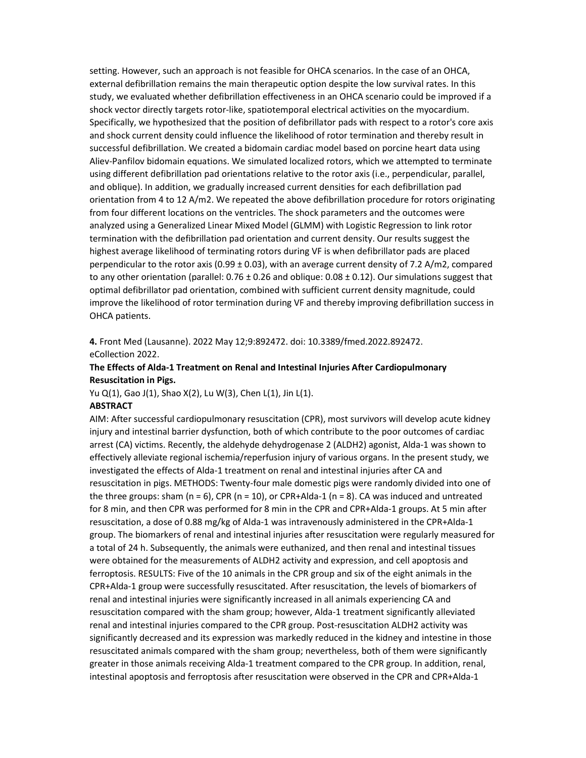setting. However, such an approach is not feasible for OHCA scenarios. In the case of an OHCA, external defibrillation remains the main therapeutic option despite the low survival rates. In this study, we evaluated whether defibrillation effectiveness in an OHCA scenario could be improved if a shock vector directly targets rotor-like, spatiotemporal electrical activities on the myocardium. Specifically, we hypothesized that the position of defibrillator pads with respect to a rotor's core axis and shock current density could influence the likelihood of rotor termination and thereby result in successful defibrillation. We created a bidomain cardiac model based on porcine heart data using Aliev-Panfilov bidomain equations. We simulated localized rotors, which we attempted to terminate using different defibrillation pad orientations relative to the rotor axis (i.e., perpendicular, parallel, and oblique). In addition, we gradually increased current densities for each defibrillation pad orientation from 4 to 12 A/m2. We repeated the above defibrillation procedure for rotors originating from four different locations on the ventricles. The shock parameters and the outcomes were analyzed using a Generalized Linear Mixed Model (GLMM) with Logistic Regression to link rotor termination with the defibrillation pad orientation and current density. Our results suggest the highest average likelihood of terminating rotors during VF is when defibrillator pads are placed perpendicular to the rotor axis (0.99 ± 0.03), with an average current density of 7.2 A/m2, compared to any other orientation (parallel:  $0.76 \pm 0.26$  and oblique:  $0.08 \pm 0.12$ ). Our simulations suggest that optimal defibrillator pad orientation, combined with sufficient current density magnitude, could improve the likelihood of rotor termination during VF and thereby improving defibrillation success in OHCA patients.

4. Front Med (Lausanne). 2022 May 12;9:892472. doi: 10.3389/fmed.2022.892472. eCollection 2022.

### The Effects of Alda-1 Treatment on Renal and Intestinal Injuries After Cardiopulmonary Resuscitation in Pigs.

Yu Q(1), Gao J(1), Shao X(2), Lu W(3), Chen L(1), Jin L(1).

#### ABSTRACT

AIM: After successful cardiopulmonary resuscitation (CPR), most survivors will develop acute kidney injury and intestinal barrier dysfunction, both of which contribute to the poor outcomes of cardiac arrest (CA) victims. Recently, the aldehyde dehydrogenase 2 (ALDH2) agonist, Alda-1 was shown to effectively alleviate regional ischemia/reperfusion injury of various organs. In the present study, we investigated the effects of Alda-1 treatment on renal and intestinal injuries after CA and resuscitation in pigs. METHODS: Twenty-four male domestic pigs were randomly divided into one of the three groups: sham  $(n = 6)$ , CPR  $(n = 10)$ , or CPR+Alda-1  $(n = 8)$ . CA was induced and untreated for 8 min, and then CPR was performed for 8 min in the CPR and CPR+Alda-1 groups. At 5 min after resuscitation, a dose of 0.88 mg/kg of Alda-1 was intravenously administered in the CPR+Alda-1 group. The biomarkers of renal and intestinal injuries after resuscitation were regularly measured for a total of 24 h. Subsequently, the animals were euthanized, and then renal and intestinal tissues were obtained for the measurements of ALDH2 activity and expression, and cell apoptosis and ferroptosis. RESULTS: Five of the 10 animals in the CPR group and six of the eight animals in the CPR+Alda-1 group were successfully resuscitated. After resuscitation, the levels of biomarkers of renal and intestinal injuries were significantly increased in all animals experiencing CA and resuscitation compared with the sham group; however, Alda-1 treatment significantly alleviated renal and intestinal injuries compared to the CPR group. Post-resuscitation ALDH2 activity was significantly decreased and its expression was markedly reduced in the kidney and intestine in those resuscitated animals compared with the sham group; nevertheless, both of them were significantly greater in those animals receiving Alda-1 treatment compared to the CPR group. In addition, renal, intestinal apoptosis and ferroptosis after resuscitation were observed in the CPR and CPR+Alda-1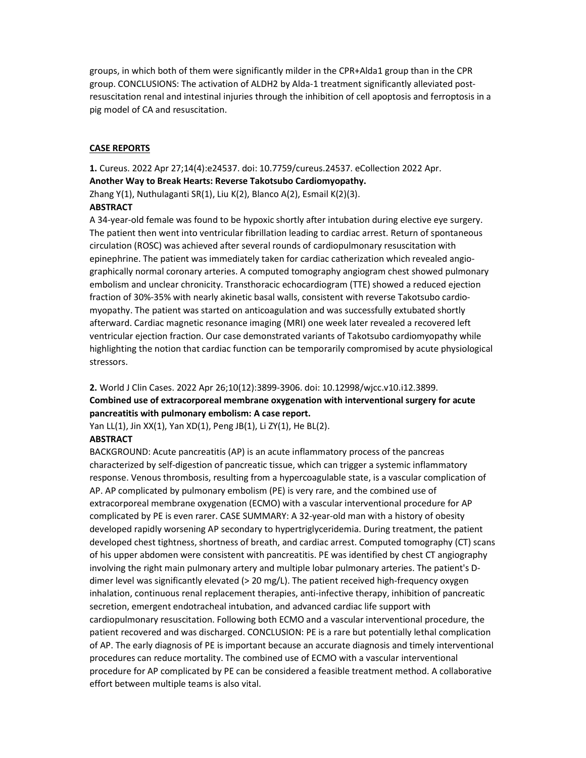groups, in which both of them were significantly milder in the CPR+Alda1 group than in the CPR group. CONCLUSIONS: The activation of ALDH2 by Alda-1 treatment significantly alleviated postresuscitation renal and intestinal injuries through the inhibition of cell apoptosis and ferroptosis in a pig model of CA and resuscitation.

#### CASE REPORTS

1. Cureus. 2022 Apr 27;14(4):e24537. doi: 10.7759/cureus.24537. eCollection 2022 Apr. Another Way to Break Hearts: Reverse Takotsubo Cardiomyopathy. Zhang Y(1), Nuthulaganti SR(1), Liu K(2), Blanco A(2), Esmail K(2)(3).

#### **ABSTRACT**

A 34-year-old female was found to be hypoxic shortly after intubation during elective eye surgery. The patient then went into ventricular fibrillation leading to cardiac arrest. Return of spontaneous circulation (ROSC) was achieved after several rounds of cardiopulmonary resuscitation with epinephrine. The patient was immediately taken for cardiac catherization which revealed angiographically normal coronary arteries. A computed tomography angiogram chest showed pulmonary embolism and unclear chronicity. Transthoracic echocardiogram (TTE) showed a reduced ejection fraction of 30%-35% with nearly akinetic basal walls, consistent with reverse Takotsubo cardiomyopathy. The patient was started on anticoagulation and was successfully extubated shortly afterward. Cardiac magnetic resonance imaging (MRI) one week later revealed a recovered left ventricular ejection fraction. Our case demonstrated variants of Takotsubo cardiomyopathy while highlighting the notion that cardiac function can be temporarily compromised by acute physiological stressors.

# 2. World J Clin Cases. 2022 Apr 26;10(12):3899-3906. doi: 10.12998/wjcc.v10.i12.3899.

# Combined use of extracorporeal membrane oxygenation with interventional surgery for acute pancreatitis with pulmonary embolism: A case report.

Yan LL(1), Jin XX(1), Yan XD(1), Peng JB(1), Li ZY(1), He BL(2).

# **ABSTRACT**

BACKGROUND: Acute pancreatitis (AP) is an acute inflammatory process of the pancreas characterized by self-digestion of pancreatic tissue, which can trigger a systemic inflammatory response. Venous thrombosis, resulting from a hypercoagulable state, is a vascular complication of AP. AP complicated by pulmonary embolism (PE) is very rare, and the combined use of extracorporeal membrane oxygenation (ECMO) with a vascular interventional procedure for AP complicated by PE is even rarer. CASE SUMMARY: A 32-year-old man with a history of obesity developed rapidly worsening AP secondary to hypertriglyceridemia. During treatment, the patient developed chest tightness, shortness of breath, and cardiac arrest. Computed tomography (CT) scans of his upper abdomen were consistent with pancreatitis. PE was identified by chest CT angiography involving the right main pulmonary artery and multiple lobar pulmonary arteries. The patient's Ddimer level was significantly elevated (> 20 mg/L). The patient received high-frequency oxygen inhalation, continuous renal replacement therapies, anti-infective therapy, inhibition of pancreatic secretion, emergent endotracheal intubation, and advanced cardiac life support with cardiopulmonary resuscitation. Following both ECMO and a vascular interventional procedure, the patient recovered and was discharged. CONCLUSION: PE is a rare but potentially lethal complication of AP. The early diagnosis of PE is important because an accurate diagnosis and timely interventional procedures can reduce mortality. The combined use of ECMO with a vascular interventional procedure for AP complicated by PE can be considered a feasible treatment method. A collaborative effort between multiple teams is also vital.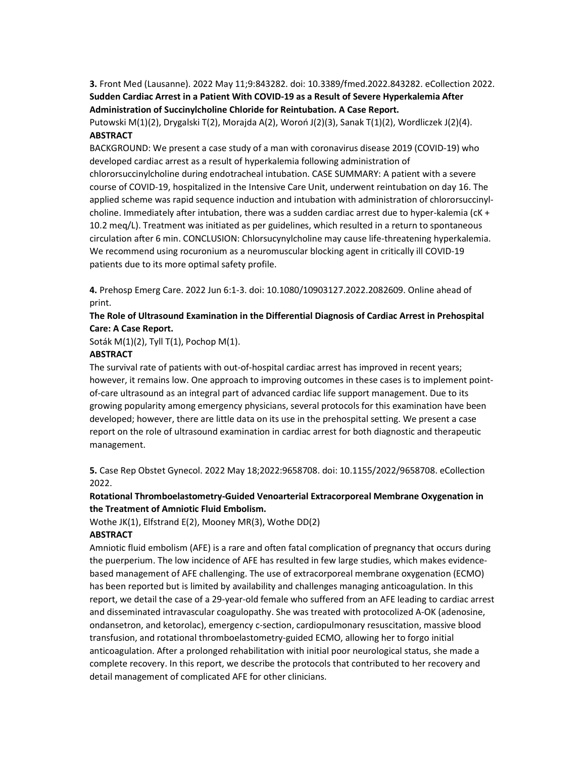3. Front Med (Lausanne). 2022 May 11;9:843282. doi: 10.3389/fmed.2022.843282. eCollection 2022. Sudden Cardiac Arrest in a Patient With COVID-19 as a Result of Severe Hyperkalemia After Administration of Succinylcholine Chloride for Reintubation. A Case Report.

Putowski M(1)(2), Drygalski T(2), Morajda A(2), Woroń J(2)(3), Sanak T(1)(2), Wordliczek J(2)(4). ABSTRACT

BACKGROUND: We present a case study of a man with coronavirus disease 2019 (COVID-19) who developed cardiac arrest as a result of hyperkalemia following administration of chlororsuccinylcholine during endotracheal intubation. CASE SUMMARY: A patient with a severe course of COVID-19, hospitalized in the Intensive Care Unit, underwent reintubation on day 16. The applied scheme was rapid sequence induction and intubation with administration of chlororsuccinylcholine. Immediately after intubation, there was a sudden cardiac arrest due to hyper-kalemia (cK + 10.2 meq/L). Treatment was initiated as per guidelines, which resulted in a return to spontaneous circulation after 6 min. CONCLUSION: Chlorsucynylcholine may cause life-threatening hyperkalemia. We recommend using rocuronium as a neuromuscular blocking agent in critically ill COVID-19 patients due to its more optimal safety profile.

4. Prehosp Emerg Care. 2022 Jun 6:1-3. doi: 10.1080/10903127.2022.2082609. Online ahead of print.

## The Role of Ultrasound Examination in the Differential Diagnosis of Cardiac Arrest in Prehospital Care: A Case Report.

Soták M(1)(2), Tyll T(1), Pochop M(1).

## **ABSTRACT**

The survival rate of patients with out-of-hospital cardiac arrest has improved in recent years; however, it remains low. One approach to improving outcomes in these cases is to implement pointof-care ultrasound as an integral part of advanced cardiac life support management. Due to its growing popularity among emergency physicians, several protocols for this examination have been developed; however, there are little data on its use in the prehospital setting. We present a case report on the role of ultrasound examination in cardiac arrest for both diagnostic and therapeutic management.

5. Case Rep Obstet Gynecol. 2022 May 18;2022:9658708. doi: 10.1155/2022/9658708. eCollection 2022.

## Rotational Thromboelastometry-Guided Venoarterial Extracorporeal Membrane Oxygenation in the Treatment of Amniotic Fluid Embolism.

Wothe JK(1), Elfstrand E(2), Mooney MR(3), Wothe DD(2)

## **ABSTRACT**

Amniotic fluid embolism (AFE) is a rare and often fatal complication of pregnancy that occurs during the puerperium. The low incidence of AFE has resulted in few large studies, which makes evidencebased management of AFE challenging. The use of extracorporeal membrane oxygenation (ECMO) has been reported but is limited by availability and challenges managing anticoagulation. In this report, we detail the case of a 29-year-old female who suffered from an AFE leading to cardiac arrest and disseminated intravascular coagulopathy. She was treated with protocolized A-OK (adenosine, ondansetron, and ketorolac), emergency c-section, cardiopulmonary resuscitation, massive blood transfusion, and rotational thromboelastometry-guided ECMO, allowing her to forgo initial anticoagulation. After a prolonged rehabilitation with initial poor neurological status, she made a complete recovery. In this report, we describe the protocols that contributed to her recovery and detail management of complicated AFE for other clinicians.